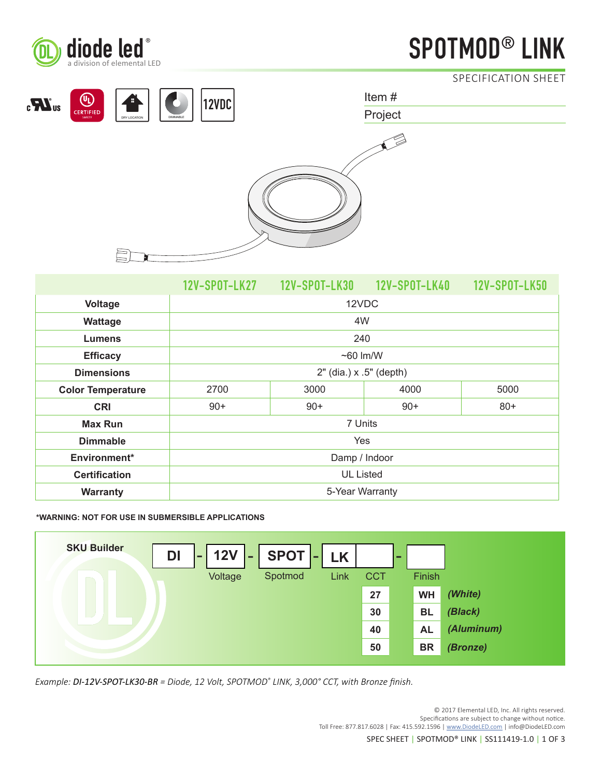

# diode led<sup>®</sup> LINK **SPOTMOD®** LINK

SPECIFICATION SHEET



|                          |                         |       |       | 12V-SP0T-LK50 |
|--------------------------|-------------------------|-------|-------|---------------|
| Voltage                  | 12VDC                   |       |       |               |
| Wattage                  | 4W                      |       |       |               |
| <b>Lumens</b>            | 240                     |       |       |               |
| <b>Efficacy</b>          | $~60 \,$ lm/W           |       |       |               |
| <b>Dimensions</b>        | 2" (dia.) x .5" (depth) |       |       |               |
| <b>Color Temperature</b> | 2700                    | 3000  | 4000  | 5000          |
| <b>CRI</b>               | $90+$                   | $90+$ | $90+$ | $80+$         |
| <b>Max Run</b>           | 7 Units                 |       |       |               |
| <b>Dimmable</b>          | Yes                     |       |       |               |
| Environment*             | Damp / Indoor           |       |       |               |
| <b>Certification</b>     | <b>UL Listed</b>        |       |       |               |
| Warranty                 | 5-Year Warranty         |       |       |               |

**\*WARNING: NOT FOR USE IN SUBMERSIBLE APPLICATIONS**



*Example: DI-12V-SPOT-LK30-BR = Diode, 12 Volt, SPOTMOD® LINK, 3,000° CCT, with Bronze finish.*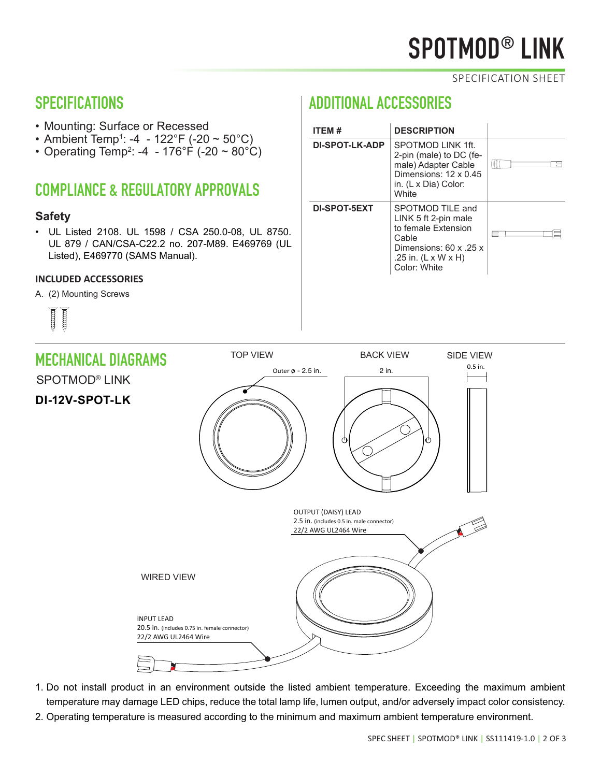# SPOTMOD® LINK

### SPECIFICATION SHEET

## SPECIFICATIONS

- Mounting: Surface or Recessed
- Ambient Temp1 : -4 122°F (-20 ~ 50°C)
- Operating Temp<sup>2</sup>: -4 176°F (-20 ~ 80°C)

# COMPLIANCE & REGULATORY APPROVALS

## **Safety**

• UL Listed 2108. UL 1598 / CSA 250.0-08, UL 8750. UL 879 / CAN/CSA-C22.2 no. 207-M89. E469769 (UL Listed), E469770 (SAMS Manual).

### **INCLUDED ACCESSORIES**

A. (2) Mounting Screws



# ADDITIONAL ACCESSORIES

| <b>ITEM#</b>   | <b>DESCRIPTION</b>                                                                                                                                    |  |
|----------------|-------------------------------------------------------------------------------------------------------------------------------------------------------|--|
| DI-SPOT-LK-ADP | SPOTMOD LINK 1ft.<br>2-pin (male) to DC (fe-<br>male) Adapter Cable<br>Dimensions: 12 x 0.45<br>in. (L x Dia) Color:<br><b>White</b>                  |  |
| DI-SPOT-5EXT   | SPOTMOD TILE and<br>LINK 5 ft 2-pin male<br>to female Extension<br>Cable<br>Dimensions: 60 x .25 x<br>.25 in. $(L \times W \times H)$<br>Color: White |  |



- 1. Do not install product in an environment outside the listed ambient temperature. Exceeding the maximum ambient temperature may damage LED chips, reduce the total lamp life, lumen output, and/or adversely impact color consistency.
- 2. Operating temperature is measured according to the minimum and maximum ambient temperature environment.